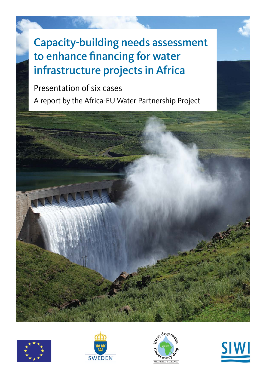# Capacity-building needs assessment to enhance financing for water infrastructure projects in Africa

## Presentation of six cases

A report by the Africa-EU Water Partnership Project









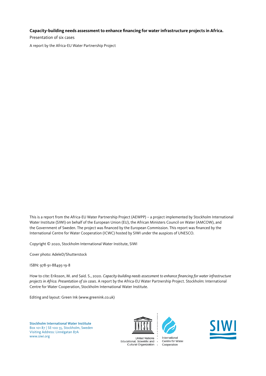#### **Capacity-building needs assessment to enhance financing for water infrastructure projects in Africa.**

Presentation of six cases

A report by the Africa-EU Water Partnership Project

This is a report from the Africa-EU Water Partnership Project (AEWPP) – a project implemented by Stockholm International Water Institute (SIWI) on behalf of the European Union (EU), the African Ministers Council on Water (AMCOW), and the Government of Sweden. The project was financed by the European Commission. This report was financed by the International Centre for Water Cooperation (ICWC) hosted by SIWI under the auspices of UNESCO.

Copyright © 2020, Stockholm International Water Institute, SIWI

Cover photo: AdeleD/Shutterstock

ISBN: 978-91-88495-19-8

How to cite: Eriksson, M. and Said. S., 2020. *Capacity-building needs assessment to enhance financing for water infrastructure projects in Africa. Presentation of six cases*. A report by the Africa-EU Water Partnership Project. Stockholm: International Centre for Water Cooperation, Stockholm International Water Institute.

Editing and layout: Green Ink (www.greenink.co.uk)

Stockholm International Water Institute Box 101 87 | SE-100 55, Stockholm, Sweden Visiting Address: Linnégatan 87A [www.siwi.org](http://www.siwi.org)







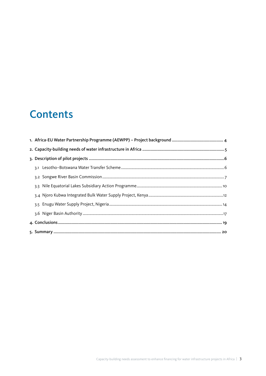## **Contents**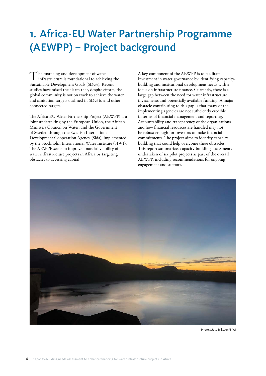## <span id="page-3-0"></span>1. Africa-EU Water Partnership Programme (AEWPP) – Project background

The financing and development of water<br>infrastructure is foundational to achieving the<br>Setting the setting of the set of the SDG  $\geq$  B Sustainable Development Goals (SDGs). Recent studies have raised the alarm that, despite efforts, the global community is not on track to achieve the water and sanitation targets outlined in SDG 6, and other connected targets.

The Africa-EU Water Partnership Project (AEWPP) is a joint undertaking by the European Union, the African Ministers Council on Water, and the Government of Sweden through the Swedish International Development Cooperation Agency (Sida), implemented by the Stockholm International Water Institute (SIWI). The AEWPP seeks to improve financial viability of water infrastructure projects in Africa by targeting obstacles to accessing capital.

A key component of the AEWPP is to facilitate investment in water governance by identifying capacitybuilding and institutional development needs with a focus on infrastructure finance. Currently, there is a large gap between the need for water infrastructure investments and potentially available funding. A major obstacle contributing to this gap is that many of the implementing agencies are not sufficiently credible in terms of financial management and reporting. Accountability and transparency of the organizations and how financial resources are handled may not be robust enough for investors to make financial commitments. The project aims to identify capacitybuilding that could help overcome these obstacles. This report summarizes capacity-building assessments undertaken of six pilot projects as part of the overall AEWPP, including recommendations for ongoing engagement and support.



Photo: Mats Eriksson/SIWI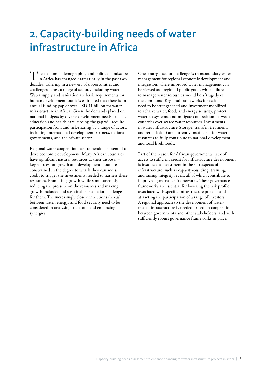## <span id="page-4-0"></span>2. Capacity-building needs of water infrastructure in Africa

The economic, demographic, and political landscape<br>in Africa has changed dramatically in the past two decades, ushering in a new era of opportunities and challenges across a range of sectors, including water. Water supply and sanitation are basic requirements for human development, but it is estimated that there is an annual funding gap of over USD 11 billion for water infrastructure in Africa. Given the demands placed on national budgets by diverse development needs, such as education and health care, closing the gap will require participation from and risk-sharing by a range of actors, including international development partners, national governments, and the private sector.

Regional water cooperation has tremendous potential to drive economic development. Many African countries have significant natural resources at their disposal – key sources for growth and development – but are constrained in the degree to which they can access credit to trigger the investments needed to harness these resources. Promoting growth while simultaneously reducing the pressure on the resources and making growth inclusive and sustainable is a major challenge for them. The increasingly close connections (nexus) between water, energy, and food security need to be considered in analysing trade-offs and enhancing synergies.

One strategic sector challenge is transboundary water management for regional economic development and integration, where improved water management can be viewed as a regional public good, while failure to manage water resources would be a 'tragedy of the commons'. Regional frameworks for action need to be strengthened and investment mobilized to achieve water, food, and energy security, protect water ecosystems, and mitigate competition between countries over scarce water resources. Investments in water infrastructure (storage, transfer, treatment, and reticulation) are currently insufficient for water resources to fully contribute to national development and local livelihoods.

Part of the reason for African governments' lack of access to sufficient credit for infrastructure development is insufficient investment in the soft aspects of infrastructure, such as capacity-building, training, and raising integrity levels, all of which contribute to improved governance frameworks. These governance frameworks are essential for lowering the risk profile associated with specific infrastructure projects and attracting the participation of a range of investors. A regional approach to the development of waterrelated infrastructure is needed, based on cooperation between governments and other stakeholders, and with sufficiently robust governance frameworks in place.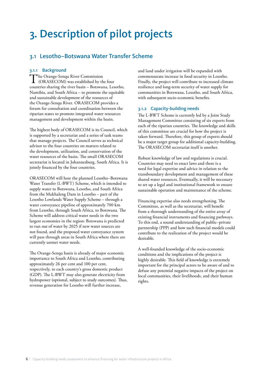## <span id="page-5-0"></span>3. Description of pilot projects

### 3.1 Lesotho–Botswana Water Transfer Scheme

#### 3.1.1 Background

The Orange-Senqu River Commission<br>
(ORASECOM) was established by the four countries sharing the river basin – Botswana, Lesotho, Namibia, and South Africa – to promote the equitable and sustainable development of the resources of the Orange-Senqu River. ORASECOM provides a forum for consultation and coordination between the riparian states to promote integrated water resources management and development within the basin.

The highest body of ORASECOM is its Council, which is supported by a secretariat and a series of task teams that manage projects. The Council serves as technical advisor to the four countries on matters related to the development, utilization, and conservation of the water resources of the basin. The small ORASECOM secretariat is located in Johannesburg, South Africa. It is jointly financed by the four countries.

ORASECOM will host the planned Lesotho–Botswana Water Transfer (L-BWT) Scheme, which is intended to supply water to Botswana, Lesotho, and South Africa from the Makhaleng Dam in Lesotho – part of the Lesotho Lowlands Water Supply Scheme – through a water conveyance pipeline of approximately 700 km from Lesotho, through South Africa, to Botswana. The Scheme will address critical water needs in the two largest economies in the region: Botswana is predicted to run out of water by 2025 if new water sources are not found, and the proposed water conveyance system will pass through areas in South Africa where there are currently unmet water needs.

The Orange-Senqu basin is already of major economic importance to South Africa and Lesotho, contributing approximately 26 per cent and 100 per cent, respectively, to each country's gross domestic product (GDP). The L-BWT may also generate electricity from hydropower (optional, subject to study outcomes). Thus, revenue generation for Lesotho will further increase,

and land under irrigation will be expanded with commensurate increase in food security in Lesotho. Finally, the project will contribute to increased climate resilience and long-term security of water supply for communities in Botswana, Lesotho, and South Africa, with subsequent socio-economic benefits.

#### 3.1.2 Capacity-building needs

The L-BWT Scheme is currently led by a Joint Study Management Committee consisting of six experts from each of the riparian countries. The knowledge and skills of this committee are crucial for how the project is taken forward. Therefore, this group of experts should be a major target group for additional capacity-building. The ORASECOM secretariat itself is another.

Robust knowledge of law and regulations is crucial. Countries may need to enact laws and there is a need for legal expertise and advice in relation to the transboundary development and management of these shared water resources. Eventually, it will be necessary to set up a legal and institutional framework to ensure sustainable operation and maintenance of the scheme.

Financing expertise also needs strengthening. The Committee, as well as the secretariat, will benefit from a thorough understanding of the entire array of existing financial instruments and financing pathways. To this end, a sound understanding of public–private partnership (PPP) and how such financial models could contribute to the realization of the project would be desirable.

A well-founded knowledge of the socio-economic conditions and the implications of the project is highly desirable. This field of knowledge is extremely important for the principal actors to be aware of and to defuse any potential negative impacts of the project on local communities, their livelihoods, and their human rights.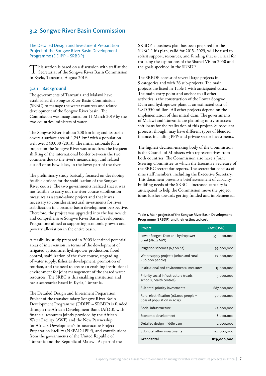### <span id="page-6-0"></span>3.2 Songwe River Basin Commission

The Detailed Design and Investment Preparation Project of the Songwe River Basin Development Programme (DDIPP – SRBDP)

This section is based on a discussion with staff at the Secretariat of the Songwe River Basin Commission in Kyela, Tanzania, August 2019.

#### 3.2.1 Background

The governments of Tanzania and Malawi have established the Songwe River Basin Commission (SRBC) to manage the water resources and related development of the Songwe River basin. The Commission was inaugurated on 11 March 2019 by the two countries' ministers of water.

The Songwe River is about 200 km long and its basin covers a surface area of  $4,243 \text{ km}^2$  with a population well over 340,000 (2013). The initial rationale for a project on the Songwe River was to address the frequent shifting of the international border between the two countries due to the river's meandering, and related cut-off of ox-bow lakes, in the lower part of the river.

The preliminary study basically focused on developing feasible options for the stabilization of the Songwe River course. The two governments realized that it was not feasible to carry out the river course stabilization measures as a stand-alone project and that it was necessary to consider structural investments for river stabilization in a broader basin development perspective. Therefore, the project was upgraded into the basin-wide and comprehensive Songwe River Basin Development Programme aimed at supporting economic growth and poverty alleviation in the entire basin.

A feasibility study prepared in 2003 identified potential areas of intervention in terms of the development of irrigated agriculture, hydropower production, flood control, stabilization of the river course, upgrading of water supply, fisheries development, promotion of tourism, and the need to create an enabling institutional environment for joint management of the shared water resources. The SRBC is this enabling institution and has a secretariat based in Kyela, Tanzania.

The Detailed Design and Investment Preparation Project of the transboundary Songwe River Basin Development Programme (DDIPP – SRBDP) is funded through the African Development Bank (AfDB), with financial resources jointly provided by the African Water Facility (AWF) and the New Partnership for Africa's Development's Infrastructure Project Preparation Facility (NEPAD-IPPF), and contributions from the governments of the United Republic of Tanzania and the Republic of Malawi. As part of the

SRBDP, a business plan has been prepared for the SRBC. This plan, valid for 2015–2025, will be used to solicit support, resources, and funding that is critical for realizing the aspirations of the Shared Vision 2050 and the goals specified in the SRBDP.

The SRBDP consist of several large projects in 9 categories and with 26 sub-projects. The main projects are listed in Table 1 with anticipated costs. The main entry point and anchor to all other activities is the construction of the Lower Songwe Dam and hydropower plant at an estimated cost of USD 550 million. All other projects depend on the implementation of this initial dam. The governments of Malawi and Tanzania are planning to try to access soft loans for the realization of this project. Subsequent projects, though, may have different types of blended finance, including PPPs and private sector investments.

The highest decision-making body of the Commission is the Council of Ministers with representatives from both countries. The Commission also have a Joint Steering Committee to which the Executive Secretary of the SRBC secretariat reports. The secretariat consists of nine staff members, including the Executive Secretary. This document presents a brief assessment of capacitybuilding needs of the SRBC – increased capacity is anticipated to help the Commission move the project ideas further towards getting funded and implemented.

Table 1. Main projects of the Songwe River Basin Development Programme (SRBDP) and their estimated cost

| Project                                                               | Cost (USD)  |
|-----------------------------------------------------------------------|-------------|
| Lower Songwe Dam and hydropower<br>plant (180.2 MW)                   | 550,000,000 |
| Irrigation schemes (6,200 ha)                                         | 99,000,000  |
| Water supply projects (urban and rural;<br>460,000 people)            | 22,000,000  |
| Institutional and environmental measures                              | 13,000,000  |
| Priority social infrastructure (roads,<br>schools, health centres)    | 3,000,000   |
| Sub-total priority investments                                        | 687,000,000 |
| Rural electrification (118,000 people =<br>60% of population in 2025) | 90,000,000  |
| Social infrastructure                                                 | 42,000,000  |
| Economic development                                                  | 8,000,000   |
| Detailed design middle dam                                            | 2,000,000   |
| Sub-total other investments                                           | 142,000,000 |
| <b>Grand total</b>                                                    | 829,000,000 |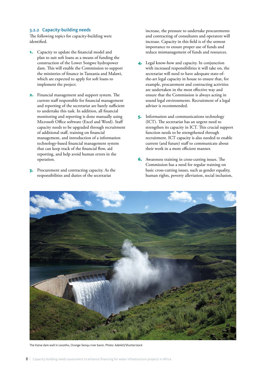#### 3.2.2 Capacity-building needs

The following topics for capacity-building were identified.

- 1. Capacity to update the financial model and plan to suit soft loans as a means of funding the construction of the Lower Songwe hydropower dam. This will enable the Commission to support the ministries of finance in Tanzania and Malawi, which are expected to apply for soft loans to implement the project.
- 2. Financial management and support system. The current staff responsible for financial management and reporting of the secretariat are barely sufficient to undertake this task. In addition, all financial monitoring and reporting is done manually using Microsoft Office software (Excel and Word). Staff capacity needs to be upgraded through recruitment of additional staff, training on financial management, and introduction of a information technology-based financial management system that can keep track of the financial flow, aid reporting, and help avoid human errors in the operation.
- 3. Procurement and contracting capacity. As the responsibilities and duties of the secretariat

increase, the pressure to undertake procurements and contracting of consultants and operators will increase. Capacity in this field is of the utmost importance to ensure proper use of funds and reduce mismanagement of funds and resources.

- Legal know-how and capacity. In conjunction with increased responsibilities it will take on, the secretariat will need to have adequate state-ofthe-art legal capacity in house to ensure that, for example, procurement and contracting activities are undertaken in the most effective way and ensure that the Commission is always acting in sound legal environments. Recruitment of a legal adviser is recommended.
- 5. Information and communications technology (ICT). The secretariat has an urgent need to strengthen its capacity in ICT. This crucial support function needs to be strengthened through recruitment. ICT capacity is also needed to enable current (and future) staff to communicate about their work in a more efficient manner.
- 6. Awareness training in cross-cutting issues. The Commission has a need for regular training on basic cross-cutting issues, such as gender equality, human rights, poverty alleviation, social inclusion,



The Katse dam wall in Lesotho, Orange-Senqu river basin. Photo: AdeleD/Shutterstock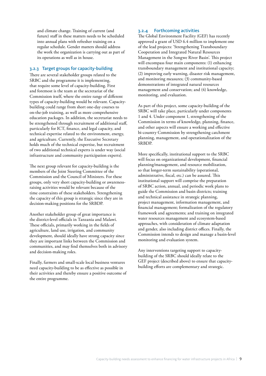and climate change. Training of current (and future) staff in these matters needs to be scheduled into annual plans with refresher training on a regular schedule. Gender matters should address the work the organization is carrying out as part of its operations as well as in house.

#### 3.2.3 Target groups for capacity-building

There are several stakeholder groups related to the SRBC and the programme it is implementing, that require some level of capacity-building. First and foremost is the team at the secretariat of the Commission itself, where the entire range of different types of capacity-building would be relevant. Capacitybuilding could range from short one-day courses to on-the-job training, as well as more comprehensive education packages. In addition, the secretariat needs to be strengthened through recruitment of additional staff, particularly for ICT, finance, and legal capacity, and technical expertise related to the environment, energy, and agriculture. Currently, the Executive Secretary holds much of the technical expertise, but recruitment of two additional technical experts is under way (social infrastructure and community participation experts).

The next group relevant for capacity-building is the members of the Joint Steering Committee of the Commission and the Council of Ministers. For these groups, only very short capacity-building or awarenessraising activities would be relevant because of the time constraints of these stakeholders. Strengthening the capacity of this group is strategic since they are in decision-making positions for the SRBDP.

Another stakeholder group of great importance is the district-level officials in Tanzania and Malawi. These officials, primarily working in the fields of agriculture, land use, irrigation, and community development, should ideally have strong capacity since they are important links between the Commission and communities, and may find themselves both in advisory and decision-making roles.

Finally, farmers and small-scale local business ventures need capacity-building to be as effective as possible in their activities and thereby ensure a positive outcome of the entire programme.

#### 3.2.4 Forthcoming activities

The Global Environment Facility (GEF) has recently approved a grant of USD 6.4 million to implement one of the lead projects: 'Strengthening Transboundary Cooperation and Integrated Natural Resources Management in the Songwe River Basin'. This project will encompass four main components: (1) enhancing transboundary management and institutional capacity; (2) improving early warning, disaster risk management, and monitoring measures; (3) community-based demonstrations of integrated natural resources management and conservation; and (4) knowledge, monitoring, and evaluation.

As part of this project, some capacity-building of the SRBC will take place, particularly under components 1 and 4. Under component 1, strengthening of the Commission in terms of knowledge, planning, finance, and other aspects will ensure a working and effective bi-country Commission by strengthening catchment planning, management, and operationalization of the SRBDP.

More specifically, institutional support to the SRBC will focus on organizational development, financial planning/management, and resource mobilization, so that longer-term sustainability (operational, administrative, fiscal, etc.) can be assured. This institutional support will comprise the preparation of SRBC action, annual, and periodic work plans to guide the Commission and basin districts; training and technical assistance in strategic planning, project management, information management, and financial management; formalization of the regulatory framework and agreements; and training on integrated water resources management and ecosystem-based approaches, with consideration of climate adaptation and gender, also including district offices. Finally, the Commission intends to design and manage a basin-level monitoring and evaluation system.

Any interventions targeting support to capacitybuilding of the SRBC should ideally relate to the GEF project (described above) to ensure that capacitybuilding efforts are complementary and strategic.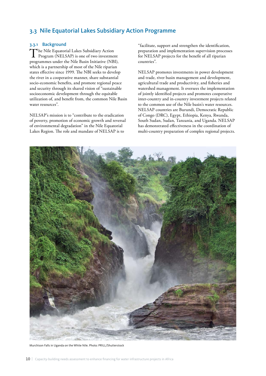### <span id="page-9-0"></span>3.3 Nile Equatorial Lakes Subsidiary Action Programme

#### 3.3.1 Background

The Nile Equatorial Lakes Subsidiary Action<br>Program (NELSAP) is one of two investment programmes under the Nile Basin Initiative (NBI), which is a partnership of most of the Nile riparian states effective since 1999. The NBI seeks to develop the river in a cooperative manner, share substantial socio-economic benefits, and promote regional peace and security through its shared vision of "sustainable socioeconomic development through the equitable utilization of, and benefit from, the common Nile Basin water resources".

NELSAP's mission is to "contribute to the eradication of poverty, promotion of economic growth and reversal of environmental degradation" in the Nile Equatorial Lakes Region. The role and mandate of NELSAP is to

"facilitate, support and strengthen the identification, preparation and implementation supervision processes for NELSAP projects for the benefit of all riparian countries".

NELSAP promotes investments in power development and trade, river basin management and development, agricultural trade and productivity, and fisheries and watershed management. It oversees the implementation of jointly identified projects and promotes cooperative inter-country and in-country investment projects related to the common use of the Nile basin's water resources. NELSAP countries are Burundi, Democratic Republic of Congo (DRC), Egypt, Ethiopia, Kenya, Rwanda, South Sudan, Sudan, Tanzania, and Uganda. NELSAP has demonstrated effectiveness in the coordination of multi-country preparation of complex regional projects.



Murchison Falls in Uganda on the White Nile. Photo: PRILL/Shutterstock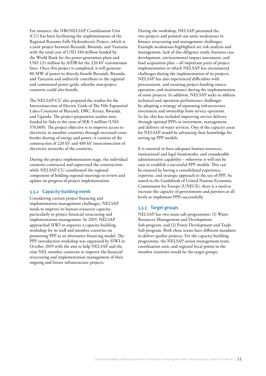For instance, the NBI/NELSAP Coordination Unit (CU) has been facilitating the implementation of the Regional Rusumo Falls Hydroelectric Project, which is a joint project between Burundi, Rwanda, and Tanzania with the total cost of USD 340 million funded by the World Bank for the power-generation plant and USD 121 million by AfDB for the 220 kV transmission lines. Once this project is completed, it will generate 80 MW of power to directly benefit Burundi, Rwanda, and Tanzania and indirectly contribute to the regional and continental power grids, whereby non-project countries could also benefit.

The NELSAP-CU also prepared the studies for the Interconnection of Electric Grids of The Nile Equatorial Lakes Countries of Burundi, DRC, Kenya, Rwanda, and Uganda. The project preparation studies were funded by Sida to the tune of SEK 5 million (USD 570,000). The project objective is to improve access to electricity in member countries through increased crossborder sharing of energy and power; it consists of the construction of 220 kV and 400 kV interconnection of electricity networks of the countries.

During the project implementation stage, the individual countries contracted and supervised the construction, while NELSAP-CU coordinated the regional component of holding regional meetings to review and update on progress of project implementation.

#### 3.3.2 Capacity-building needs

Considering current project financing and implementation management challenges, NELSAP needs to improve its human resources capacity, particularly in project financial structuring and implementation management. In 2019, NELSAP approached SIWI to organize a capacity-building workshop for its staff and member countries on promoting PPP as an alternative financing model. The PPP introduction workshop was organized by SIWI in October 2019 with the aim to help NELSAP and the nine NEL member countries to improve the financial structuring and implementation management of their ongoing and future infrastructure projects.

During the workshop, NELSAP presented the two projects and pointed out some weaknesses in finance structuring and management challenges. Example weaknesses highlighted are risk analysis and management, lack of due-diligence study, business case development, environmental impact assessment, and land acquisition plan – all important parts of project implementation in which NELSAP has encountered challenges during the implementation of its projects. NELSAP has also experienced difficulties with procurement, and ensuring project funding source, operation, and maintenance during the implementation of some projects. In addition, NELSAP seeks to address technical and operation performance challenges by adopting a strategy of separating infrastructure investment and ownership from service operation. So far, this has included improving service delivery through optimal PPPs in investment, management, and delivery of water services. One of the capacity areas for NELSAP would be advancing their knowledge for setting up PPP models.

It is essential to have adequate human resources, institutional and legal frameworks, and considerable administrative capability – otherwise it will not be easy to establish a successful PPP models. This can be ensured by having a consolidated experience, expertise, and strategic approach to the use of PPP. As stated in the Guidebook of United Nations Economic Commission for Europe (UNECE), there is a need to increase the capacity of governments and partners at all levels to implement PPPs successfully.

#### 3.3.3 Target groups

NELSAP has two main sub-programmes: (1) Water Resources Management and Development Sub-program, and (2) Power Development and Trade Sub-program. Both these teams have different mandates to deliver quality projects. For the capacity-building programme, the NELSAP senior management team, coordination unit, and regional focal points in the member countries would be the target groups.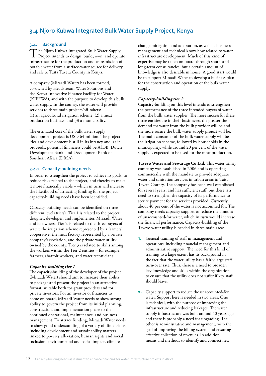### <span id="page-11-0"></span>3.4 Njoro Kubwa Integrated Bulk Water Supply Project, Kenya

#### 3.4.1 Background

The Njoro Kubwa Integrated Bulk Water Supply<br>Project intends to design, build, own, and operate infrastructure for the production and transmission of potable water from a surface-water source for delivery and sale to Taita Taveta County in Kenya.

A company (Miraadi Water) has been formed, co-owned by Headstream Water Solutions and the Kenya Innovative Finance Facility for Water (KIFFWA), and with the purpose to develop this bulk water supply. In the county, the water will provide services to three main projects/off-takers: (1) an agricultural irrigation scheme, (2) a meat production business, and (3) a municipality.

The estimated cost of the bulk water supply development project is USD 64 million. The project idea and development is still in its infancy and, as it proceeds, potential financiers could be AfDB, Dutch Development Bank, and Development Bank of Southern Africa (DBSA).

#### 3.4.2 Capacity-building needs

In order to strengthen the project to achieve its goals, to reduce risks related to the project, and thereby to make it more financially viable – which in turn will increase the likelihood of attracting funding for the project – capacity-building needs have been identified.

Capacity-building needs can be identified on three different levels (tiers). Tier 1 is related to the project designer, developer, and implementer, Miraadi Water and its owners. Tier 2 is related to the three buyers of water: the irrigation scheme represented by a farmers' cooperative, the meat factory represented by a private company/association, and the private water utility owned by the county. Tier 3 is related to skills among the workers within the Tier 2 entities – for example, farmers, abattoir workers, and water technicians.

#### *Capacity-building tier 1*

The capacity-building of the developer of the project (Miraadi Water) should aim to increase their ability to package and present the project in an attractive format, suitable both for grant providers and for private investors. For an investor or financier to come on board, Miraadi Water needs to show strong ability to govern the project from its initial planning, construction, and implementation phase to the continued operational, maintenance, and business management. To attract funding, Miraadi Water needs to show good understanding of a variety of dimensions, including development and sustainability matters linked to poverty alleviation, human rights and social inclusion, environmental and social impact, climate

change mitigation and adaptation, as well as business management and technical know-how related to water infrastructure development. Much of this kind of expertise may be taken on board through short- and long-term consultancies, but a certain amount of knowledge is also desirable in house. A good start would be to support Miraadi Water to develop a business plan for the construction and operation of the bulk water supply.

#### *Capacity-building tier 2*

Capacity-building on this level intends to strengthen the performance of the three intended buyers of water from the bulk water supplier. The more successful these three entities are in their businesses, the greater the demand for water from the bulk provider will be and the more secure the bulk water supply project will be. The main consumer of the bulk water supply will be the irrigation scheme, followed by households in the municipality, while around 20 per cent of the water supply is expected to be used for the meat production.

**Tavevo Water and Sewarage Co Ltd.** This water utility company was established in 2006 and is operating commercially with the mandate to provide adequate water and sanitation services in urban areas in Taita Taveta County. The company has been well established for several years, and has sufficient staff, but there is a need to strengthen the capacity of its performance to secure payment for the services provided. Currently, about 40 per cent of the water is not accounted for. The company needs capacity support to reduce the amount of unaccounted-for water, which in turn would increase the financial performance. Capacity-building of the Tavevo water utility is needed in three main areas.

- 1. General training of staff in management and operations, including financial management and administrative support. The need for this kind of training to a large extent has its background in the fact that the water utility has a fairly large staff turn-over rate. Thus, there is a need to broaden key knowledge and skills within the organization to ensure that the utility does not suffer if key staff should leave.
- 2. Capacity support to reduce the unaccounted-for water. Support here is needed in two areas. One is technical, with the purpose of improving the infrastructure and reducing leakages. The water supply infrastructure was built around 40 years ago and there is probably a need for upgrading. The other is administrative and management, with the goal of improving the billing system and ensuring effective collection of revenues. In addition, means and methods to identify and connect new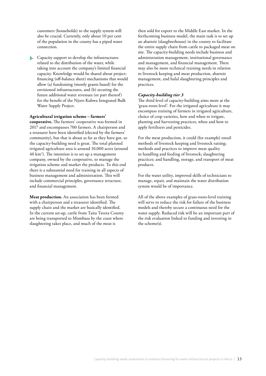customers (households) to the supply system will also be crucial. Currently, only about 10 per cent of the population in the county has a piped water connection.

3. Capacity support to develop the infrastructures related to the distribution of the water, while taking into account the company's limited financial capacity. Knowledge would be shared about projectfinancing (off-balance sheet) mechanisms that would allow (a) fundraising (mostly grants based) for the envisioned infrastructures, and (b) securing the future additional water revenues (or part thereof) for the benefit of the Njoro Kubwa Integrated Bulk Water Supply Project.

#### **Agricultural irrigation scheme – farmers'**

**cooperative.** The farmers' cooperative was formed in 2017 and encompasses 700 farmers. A chairperson and a treasurer have been identified (elected by the farmers' community), but that is about as far as they have got, so the capacity-building need is great. The total planned irrigated agriculture area is around 10,000 acres (around 40 km2 ). The intention is to set up a management company, owned by the cooperative, to manage the irrigation scheme and market the products. To this end there is a substantial need for training in all aspects of business management and administration. This will include commercial principles, governance structure, and financial management.

**Meat production.** An association has been formed with a chairperson and a treasurer identified. The supply chain and the market are basically identified. In the current set-up, cattle from Taita Taveta County are being transported to Mombasa by the coast where slaughtering takes place, and much of the meat is

then sold for export to the Middle East market. In the forthcoming business model, the main task is to set up an abattoir (slaughterhouse) in the county to facilitate the entire supply chain from cattle to packaged meat on site. The capacity-building needs include business and administration management, institutional governance and management, and financial management. There may also be more technical training needs in relation to livestock keeping and meat production, abattoir management, and halal slaughtering principles and practices.

#### *Capacity-building tier 3*

The third level of capacity-building aims more at the 'grass-roots level'. For the irrigated agriculture it may encompass training of farmers in irrigated agriculture, choice of crop varieties, how and when to irrigate, planting and harvesting practices, when and how to apply fertilizers and pesticides.

For the meat production, it could (for example) entail methods of livestock keeping and livestock raising; methods and practices to improve meat quality in handling and feeding of livestock; slaughtering practices; and handling, storage, and transport of meat products.

For the water utility, improved skills of technicians to manage, repair, and maintain the water distribution system would be of importance.

All of the above examples of grass-roots-level training will serve to reduce the risk for failure of the business models and thereby secure a continuous need for the water supply. Reduced risk will be an important part of the risk evaluation linked to funding and investing in the scheme(s).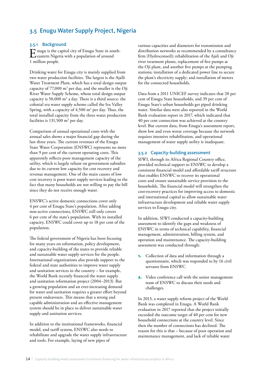### <span id="page-13-0"></span>3.5 Enugu Water Supply Project, Nigeria

#### 3.5.1 Background

Enugu is the capital city of Enugu State in south-<br>eastern Nigeria with a population of around 1 million people.

Drinking water for Enugu city is mainly supplied from two water production facilities. The largest is the Ajalli Water Treatment Plant, which has a total design output capacity of 77,000  $\text{m}^3$  per day, and the smaller is the Oji River Water Supply Scheme, whose total design output capacity is 50,000  $\mathrm{m}^3$  a day. There is a third source: the colonial era water supply scheme called the Iva Valley Spring, with a capacity of  $4,500 \text{ m}^3$  per day. Thus, the total installed capacity from the three water production facilities is 131,500  $\mathrm{m}^3$  per day.

Comparison of annual operational costs with the annual sales shows a major financial gap during the last three years. The current revenues of the Enugu State Water Corporation (ENSWC) represents no more than 9 per cent of the current operating costs. This apparently reflects poor management capacity of the utility, which is largely reliant on government subsidies due to its current low capacity for cost recovery and revenue management. One of the main causes of low cost recovery is poor water supply services leading to the fact that many households are not willing to pay the bill since they do not receive enough water.

ENSWC's active domestic connections cover only 4 per cent of Enugu State's population. After adding non-active connections, ENSWC still only covers 6 per cent of the state's population. With its installed capacity, ENSWC could cover up to 18 per cent of the population.

The federal government of Nigeria has been focusing for many years on reformation, policy development, and capacity-building of the states to provide reliable and sustainable water supply services for the people. International organizations also provide support to the federal and state authorities to improve water supply and sanitation services in the country – for example, the World Bank recently financed the water supply and sanitation reformation project (2004–2013). But a growing population and an ever-increasing demand for water and sanitation requires a greater effort beyond present endeavours. This means that a strong and capable administration and an effective management system should be in place to deliver sustainable water supply and sanitation services.

In addition to the institutional frameworks, financial model, and tariff system, ENSWC also needs to rehabilitate and upgrade the water supply infrastructure and tools. For example, laying of new pipes of

various capacities and diameters for transmission and distribution networks as recommended by a consultancy firm (Hydroconseil); rehabilitation of the Ajali and Oji river treatment plants, replacement of five pumps at the Oji plant, and another five pumps at the pumping stations; installation of a dedicated power line to secure the plant's electricity supply; and installation of meters for the connected households.

Data from a 2011 UNICEF survey indicates that 20 per cent of Enugu State households, and 39 per cent of Enugu State's urban households get piped drinking water. Similar data were also reported in the World Bank evaluation report in 2017, which indicated that 40 per cent connection was achieved at the country level. But current data, from Enugu's assessment report, show low and even worse coverage because the network requires intensive rehabilitation, and operational management of water supply utility is inadequate.

#### 3.5.2 Capacity-building assessment

SIWI, through its Africa Regional Country office, provided technical support to ENSWC to develop a consistent financial model and affordable tariff structure that enables ENSWC to recover its operational costs and ensure sustainable service provision to the households. The financial model will strengthen the cost-recovery practices for improving access to domestic and international capital to allow sustainable water infrastructure development and reliable water supply services to Enugu city.

In addition, SIWI conducted a capacity-building assessment to identify the gaps and weakness of ENSWC in terms of technical capability, financial management, administration, billing system, and operation and maintenance. The capacity-building assessment was conducted through:

- 1. Collection of data and information through a questionnaire, which was responded to by 16 civil servants from ENSWC
- 2. Video conference call with the senior management team of ENSWC to discuss their needs and challenges.

In 2013, a water supply reform project of the World Bank was completed in Enugu. A World Bank evaluation in 2017 reported that the project initially exceeded the outcome target of 40 per cent for new household connections at the country level. Since then the number of connections has declined. The reason for this is that – because of poor operation and maintenance management, and lack of reliable water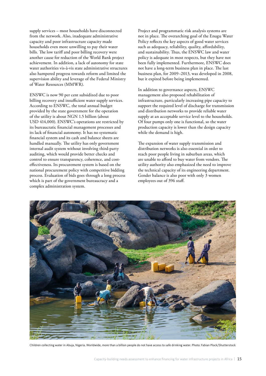supply services – most households have disconnected from the network. Also, inadequate administrative capacity and poor infrastructure capacity made households even more unwilling to pay their water bills. The low tariff and poor billing recovery were another cause for reduction of the World Bank project achievement. In addition, a lack of autonomy for state water authorities vis-à-vis state administrative structures also hampered progress towards reform and limited the supervision ability and leverage of the Federal Ministry of Water Resources (MMWR).

ENSWC is now 90 per cent subsidized due to poor billing recovery and insufficient water supply services. According to ENSWC, the total annual budget provided by the state government for the operation of the utility is about NGN 1.5 billion (about USD 414,000). ENSWC's operations are restricted by its bureaucratic financial management processes and its lack of financial autonomy. It has no systematic financial system and its cash and balance sheets are handled manually. The utility has only government internal audit system without involving third-party auditing, which would provide better checks and control to ensure transparency, coherence, and costeffectiveness. Its procurement system is based on the national procurement policy with competitive bidding process. Evaluation of bids goes through a long process which is part of the government bureaucracy and a complex administration system.

Project and programmatic risk analysis systems are not in place. The overarching goal of the Enugu Water Policy reflects the key aspects of good water services such as adequacy, reliability, quality, affordability, and sustainability. Thus, the ENSWC law and water policy is adequate in most respects, but they have not been fully implemented. Furthermore, ENSWC does not have a long-term business plan in place. The last business plan, for 2009–2013, was developed in 2008, but it expired before being implemented.

In addition to governance aspects, ENSWC management also proposed rehabilitation of infrastructure, particularly increasing pipe capacity to support the required level of discharge for transmission and distribution networks to provide reliable water supply at an acceptable service level to the households. Of four pumps only one is functional, so the water production capacity is lower than the design capacity while the demand is high.

The expansion of water supply transmission and distribution networks is also essential in order to reach poor people living in suburban areas, which are unable to afford to buy water from vendors. The utility authority also emphasized the need to improve the technical capacity of its engineering department. Gender balance is also poor with only 3 women employees out of 396 staff.



Children collecting water in Abuja, Nigeria. Worldwide, more than a billion people do not have access to safe drinking water. Photo: Fabian Plock/Shutterstock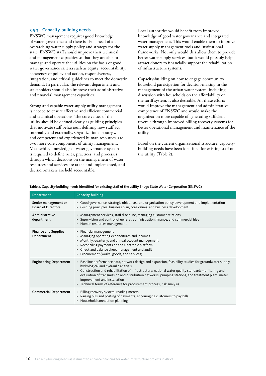#### 3.5.3 Capacity-building needs

ENSWC management requires good knowledge of water governance and there is also a need of an overarching water supply policy and strategy for the state. ENSWC staff should improve their technical and management capacities so that they are able to manage and operate the utilities on the basis of good water governance criteria such as equity, accountability, coherency of policy and action, responsiveness, integration, and ethical guidelines to meet the domestic demand. In particular, the relevant department and stakeholders should also improve their administrative and financial management capacities.

Strong and capable water supply utility management is needed to ensure effective and efficient commercial and technical operations. The core values of the utility should be defined clearly as guiding principles that motivate staff behaviour, defining how staff act internally and externally. Organizational strategy, and competent and experienced human resources, are two more core components of utility management. Meanwhile, knowledge of water governance system is required to define rules, practices, and processes through which decisions on the management of water resources and services are taken and implemented, and decision-makers are held accountable.

Local authorities would benefit from improved knowledge of good water governance and integrated water management. This would enable them to improve water supply management tools and institutional frameworks. Not only would this allow them to provide better water supply services, but it would possibly help attract donors to financially support the rehabilitation of infrastructure systems.

Capacity-building on how to engage community/ household participation for decision-making in the management of the urban water system, including discussion with households on the affordability of the tariff system, is also desirable. All these efforts would improve the management and administrative competence of ENSWC and would make the organization more capable of generating sufficient revenue through improved billing recovery systems for better operational management and maintenance of the utility.

Based on the current organizational structure, capacitybuilding needs have been identified for existing staff of the utility (Table 2).

| <b>Department</b>                                 | Capacity-building                                                                                                                                                                                                                                                                                                                                                                                                                                                                                     |
|---------------------------------------------------|-------------------------------------------------------------------------------------------------------------------------------------------------------------------------------------------------------------------------------------------------------------------------------------------------------------------------------------------------------------------------------------------------------------------------------------------------------------------------------------------------------|
| Senior management or<br><b>Board of Directors</b> | • Good governance, strategic objectives, and organization policy development and implementation<br>Guiding principles, business plan, core values, and business development                                                                                                                                                                                                                                                                                                                           |
| Administrative<br>department                      | • Management services, staff discipline, managing customer relations<br>Supervision and control of general, administration, finance, and commercial files<br>٠<br>• Human resources management                                                                                                                                                                                                                                                                                                        |
| <b>Finance and Supplies</b><br>Department         | • Financial management<br>Managing operating expenditures and incomes<br>$\bullet$<br>Monthly, quarterly, and annual account management<br>$\bullet$<br>Reconciling payments on the electronic platform<br>٠<br>Check and balance sheet management and audit<br>$\bullet$<br>Procurement (works, goods, and services)<br>٠                                                                                                                                                                            |
| <b>Engineering Department</b>                     | Baseline performance data, network design and expansion, feasibility studies for groundwater supply,<br>$\bullet$<br>hydrological and hydraulic analysis<br>Construction and rehabilitation of infrastructure; national water quality standard; monitoring and<br>$\bullet$<br>evaluation of transmission and distribution networks, pumping stations, and treatment plant; meter<br>improvement and installation<br>Technical terms of reference for procurement process, risk analysis<br>$\bullet$ |
| <b>Commercial Department</b>                      | Billing recovery system, reading meters<br>$\bullet$<br>Raising bills and posting of payments, encouraging customers to pay bills<br>٠<br>• Household connection planning                                                                                                                                                                                                                                                                                                                             |

#### Table 2. Capacity-building needs identified for existing staff of the utility Enugu State Water Corporation (ENSWC)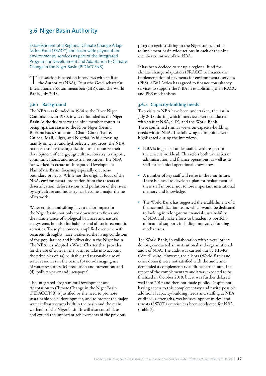### <span id="page-16-0"></span>3.6 Niger Basin Authority

Establishment of a Regional Climate Change Adaptation Fund (FRACC) and basin-wide payment for environmental services as part of the Integrated Program for Development and Adaptation to Climate Change in the Niger Basin (PIDACC/NB)

This section is based on interviews with staff at the Authority (NBA), Deutsche Gesellschaft für Internationale Zusammenarbeit (GIZ), and the World Bank, July 2018.

### 3.6.1 Background

The NBA was founded in 1964 as the River Niger Commission. In 1980, it was re-founded as the Niger Basin Authority to serve the nine member countries being riparian states to the River Niger (Benin, Burkina Faso, Cameroon, Chad, Côte d'Ivoire, Guinea, Mali, Niger, and Nigeria). While focusing mainly on water and hydroelectric resources, the NBA nations also use the organization to harmonize their development of energy, agriculture, forestry, transport, communications, and industrial resources. The NBA has worked to create an Integrated Development Plan of the Basin, focusing especially on crossboundary projects. While not the original focus of the NBA, environmental protection from the threats of desertification, deforestation, and pollution of the rivers by agriculture and industry has become a major theme of its work.

Water erosion and silting have a major impact in the Niger basin, not only for downstream flows and the maintenance of biological balances and natural ecosystems, but also for habitats and all socio-economic activities. These phenomena, amplified over time with recurrent droughts, have weakened the living conditions of the populations and biodiversity in the Niger basin. The NBA has adopted a Water Charter that provides for the use of water in the basin to take into account the principles of: (a) equitable and reasonable use of water resources in the basin; (b) non-damaging use of water resources; (c) precaution and prevention; and (d) 'polluter-payer and user-payer'.

The Integrated Program for Development and Adaptation to Climate Change in the Niger Basin (PIDACC/NB) is justified by the need to promote sustainable social development, and to protect the major water infrastructures built in the basin and the main wetlands of the Niger basin. It will also consolidate and extend the important achievements of the previous

program against silting in the Niger basin. It aims to implement basin-wide actions in each of the nine member countries of the NBA.

It has been decided to set up a regional fund for climate change adaptation (FRACC) to finance the implementation of payments for environmental services (PES). SIWI Africa has agreed to finance consultancy services to support the NBA in establishing the FRACC and PES mechanisms.

#### 3.6.2 Capacity-building needs

Two visits to NBA have been undertaken, the last in July 2018, during which interviews were conducted with staff at NBA, GIZ, and the World Bank. These confirmed similar views on capacity-building needs within NBA. The following main points were highlighted during the interviews.

- NBA is in general under-staffed with respect to the current workload. This refers both to the basic administration and finance operations, as well as to staff for technical operational know-how.
- A number of key staff will retire in the near future. There is a need to develop a plan for replacement of these staff in order not to lose important institutional memory and knowledge.
- The World Bank has suggested the establishment of a finance mobilization team, which would be dedicated to looking into long-term financial sustainability of NBA and make efforts to broaden its portfolio of financial support, including innovative funding mechanisms.

The World Bank, in collaboration with several other donors, conducted an institutional and organizational audit of NBA. The audit was carried out by KPMG Côte d'Ivoire. However, the clients (World Bank and other donors) were not satisfied with the audit and demanded a complementary audit be carried out. The report of the complementary audit was expected to be finalized in October 2018, but it was further delayed well into 2019 and then not made public. Despite not having access to this complementary audit with possible additional capacity-building needs and staffing at NBA outlined, a strengths, weaknesses, opportunities, and threats (SWOT) exercise has been conducted for NBA (Table 3).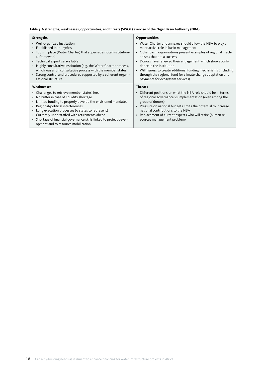#### Table 3. A strengths, weaknesses, opportunities, and threats (SWOT) exercise of the Niger Basin Authority (NBA)

| <b>Strengths</b>                                                                                                                                                                                                                                                                                                                                                                                                       | <b>Opportunities</b>                                                                                                                                                                                                                                                                                                                                                                                                                                           |  |
|------------------------------------------------------------------------------------------------------------------------------------------------------------------------------------------------------------------------------------------------------------------------------------------------------------------------------------------------------------------------------------------------------------------------|----------------------------------------------------------------------------------------------------------------------------------------------------------------------------------------------------------------------------------------------------------------------------------------------------------------------------------------------------------------------------------------------------------------------------------------------------------------|--|
| • Well-organized institution<br>• Established in the 1960s<br>• Tools in place (Water Charter) that supersedes local institution-<br>al framework<br>• Technical expertise available<br>• Highly consultative institution (e.g. the Water Charter process,<br>which was a full consultative process with the member states)<br>• Strong control and procedures supported by a coherent organi-<br>zational structure   | • Water Charter and annexes should allow the NBA to play a<br>more active role in basin management<br>Other basin organizations present examples of regional mech-<br>anisms that are a success<br>Donors have renewed their engagement, which shows confi-<br>dence in the institution<br>• Willingness to create additional funding mechanisms (including<br>through the regional fund for climate change adaptation and<br>payments for ecosystem services) |  |
| Weaknesses                                                                                                                                                                                                                                                                                                                                                                                                             | <b>Threats</b>                                                                                                                                                                                                                                                                                                                                                                                                                                                 |  |
| • Challenges to retrieve member states' fees<br>• No buffer in case of liquidity shortage<br>• Limited funding to properly develop the envisioned mandates<br>• Regional/political interferences<br>• Long execution processes (9 states to represent)<br>• Currently understaffed with retirements ahead<br>• Shortage of financial governance skills linked to project devel-<br>opment and to resource mobilization | Different positions on what the NBA role should be in terms<br>of regional governance vs implementation (even among the<br>group of donors)<br>Pressure on national budgets limits the potential to increase<br>$\bullet$<br>national contributions to the NBA<br>Replacement of current experts who will retire (human re-<br>$\bullet$<br>sources management problem)                                                                                        |  |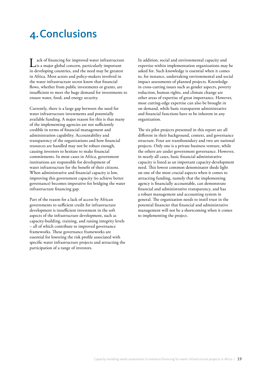## <span id="page-18-0"></span>4.Conclusions

Lack of financing for improved water infrastructure<br>is a major global concern, particularly important in developing countries, and the need may be greatest in Africa. Most actors and policy-makers involved in the water infrastructure sector know that financial flows, whether from public investments or grants, are insufficient to meet the huge demand for investments to ensure water, food, and energy security.

Currently, there is a large gap between the need for water infrastructure investments and potentially available funding. A major reason for this is that many of the implementing agencies are not sufficiently credible in terms of financial management and administration capability. Accountability and transparency of the organizations and how financial resources are handled may not be robust enough, causing investors to hesitate to make financial commitments. In most cases in Africa, government institutions are responsible for development of water infrastructure for the benefit of their citizens. When administrative and financial capacity is low, improving this government capacity (to achieve better governance) becomes imperative for bridging the water infrastructure financing gap.

Part of the reason for a lack of access by African governments to sufficient credit for infrastructure development is insufficient investment in the soft aspects of the infrastructure development, such as capacity-building, training, and raising integrity levels – all of which contribute to improved governance frameworks. These governance frameworks are essential for lowering the risk profile associated with specific water infrastructure projects and attracting the participation of a range of investors.

In addition, social and environmental capacity and expertise within implementation organizations may be asked for. Such knowledge is essential when it comes to, for instance, undertaking environmental and social impact assessments of planned projects. Knowledge in cross-cutting issues such as gender aspects, poverty reduction, human rights, and climate change are other areas of expertise of great importance. However, most cutting-edge expertise can also be brought in on demand, while basic transparent administrative and financial functions have to be inherent in any organization.

The six pilot projects presented in this report are all different in their background, context, and governance structure. Four are transboundary and two are national projects. Only one is a private business venture, while the others are under government governance. However, in nearly all cases, basic financial administrative capacity is listed as an important capacity-development need. This lowest common denominator sheds light on one of the most crucial aspects when it comes to attracting funding, namely that the implementing agency is financially accountable, can demonstrate financial and administrative transparency, and has a robust management and accounting system in general. The organization needs to instil trust in the potential financier that financial and administrative management will not be a shortcoming when it comes to implementing the project.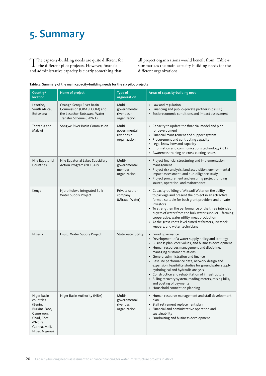## <span id="page-19-0"></span>5. Summary

The capacity-building needs are quite different for<br>the different pilot projects. However, financial and administrative capacity is clearly something that

all project organizations would benefit from. Table 4 summarizes the main capacity-building needs for the different organizations.

#### Table 4. Summary of the main capacity-building needs for the six pilot projects

| Country/<br><b>location</b>                                                                                                      | Name of project                                                                                                | Type of<br>organization                               | Areas of capacity-building need                                                                                                                                                                                                                                                                                                                                                                                                                                                                                                                                                                 |
|----------------------------------------------------------------------------------------------------------------------------------|----------------------------------------------------------------------------------------------------------------|-------------------------------------------------------|-------------------------------------------------------------------------------------------------------------------------------------------------------------------------------------------------------------------------------------------------------------------------------------------------------------------------------------------------------------------------------------------------------------------------------------------------------------------------------------------------------------------------------------------------------------------------------------------------|
| Lesotho,<br>South Africa,<br><b>Botswana</b>                                                                                     | Orange-Sengu River Basin<br>Commission (ORASECOM) and<br>the Lesotho-Botswana Water<br>Transfer Scheme (L-BWT) | Multi-<br>governmental<br>river basin<br>organization | • Law and regulation<br>• Financing and public-private partnership (PPP)<br>Socio-economic conditions and impact assessment                                                                                                                                                                                                                                                                                                                                                                                                                                                                     |
| Tanzania and<br>Malawi                                                                                                           | Songwe River Basin Commission                                                                                  | Multi-<br>governmental<br>river basin<br>organization | • Capacity to update the financial model and plan<br>for development<br>• Financial management and support system<br>• Procurement and contracting capacity<br>Legal know-how and capacity<br>• Information and communications technology (ICT)<br>• Awareness training on cross-cutting issues                                                                                                                                                                                                                                                                                                 |
| Nile Equatorial<br>Countries                                                                                                     | Nile Equatorial Lakes Subsidiary<br>Action Program (NELSAP)                                                    | Multi-<br>governmental<br>member<br>organization      | • Project financial structuring and implementation<br>management<br>• Project risk analysis, land acquisition, environmental<br>impact assessment, and due-diligence study<br>• Project procurement and ensuring project funding<br>source, operation, and maintenance                                                                                                                                                                                                                                                                                                                          |
| Kenya                                                                                                                            | Njoro Kubwa Integrated Bulk<br>Water Supply Project                                                            | Private sector<br>company<br>(Miraadi Water)          | • Capacity-building of Miraadi Water on the ability<br>to package and present the project in an attractive<br>format, suitable for both grant providers and private<br>investors<br>• To strengthen the performance of the three intended<br>buyers of water from the bulk water supplier - farming<br>cooperative, water utility, meat production<br>• At the grass-roots level aimed at farmers, livestock<br>keepers, and water technicians                                                                                                                                                  |
| Nigeria                                                                                                                          | Enugu Water Supply Project                                                                                     | State water utility                                   | • Good governance<br>• Development of a water supply policy and strategy<br>• Business plan, core values, and business development<br>• Human resources management and discipline,<br>managing customer relations<br>• General administration and finance<br>• Baseline performance data, network design and<br>expansion, feasibility studies for groundwater supply,<br>hydrological and hydraulic analysis<br>• Construction and rehabilitation of infrastructure<br>• Billing recovery system, reading meters, raising bills,<br>and posting of payments<br>• Household connection planning |
| Niger basin<br>countries<br>(Benin,<br>Burkina Faso,<br>Cameroon,<br>Chad, Côte<br>d'Ivoire,<br>Guinea, Mali,<br>Niger, Nigeria) | Niger Basin Authority (NBA)                                                                                    | Multi-<br>governmental<br>river basin<br>organization | • Human resource management and staff development<br>plan<br>• Staff retirement replacement plan<br>• Financial and administrative operation and<br>sustainability<br>• Fundraising and business development                                                                                                                                                                                                                                                                                                                                                                                    |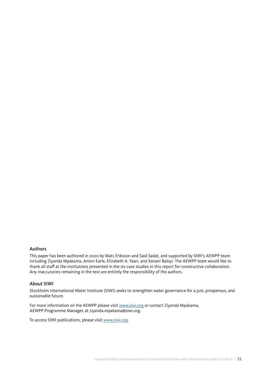#### Authors

This paper has been authored in 2020 by Mats Eriksson and Said Sadat, and supported by SIWI's AEWPP team including Ziyanda Mpakama, Anton Earle, Elizabeth A. Yaari, and Xanani Baloyi. The AEWPP team would like to thank all staff at the institutions presented in the six case studies in this report for constructive collaboration. Any inaccuracies remaining in the text are entirely the responsibility of the authors.

#### About SIWI

Stockholm International Water Institute (SIWI) seeks to strengthen water governance for a just, prosperous, and sustainable future.

For more information on the AEWPP please visit [www.siwi.org](http://www.siwi.org) or contact Ziyanda Mpakama, AEWPP Programme Manager, at [ziyanda.mpakama@siwi.org](mailto:ziyanda.mpakama@siwi.org).

To access SIWI publications, please visit [www.siwi.org.](http://www.siwi.org)